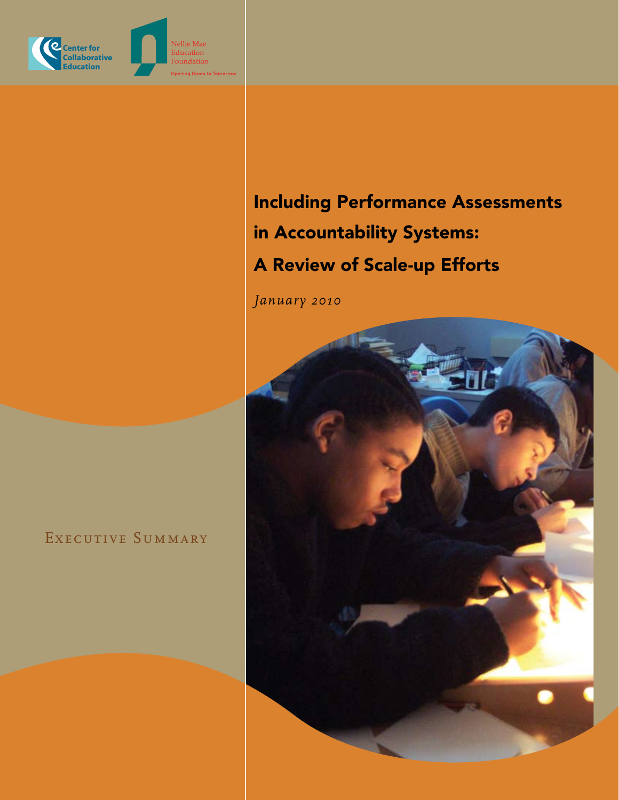

Including Performance Assessments in Accountability Systems: A Review of Scale-up Efforts

*January 2010*

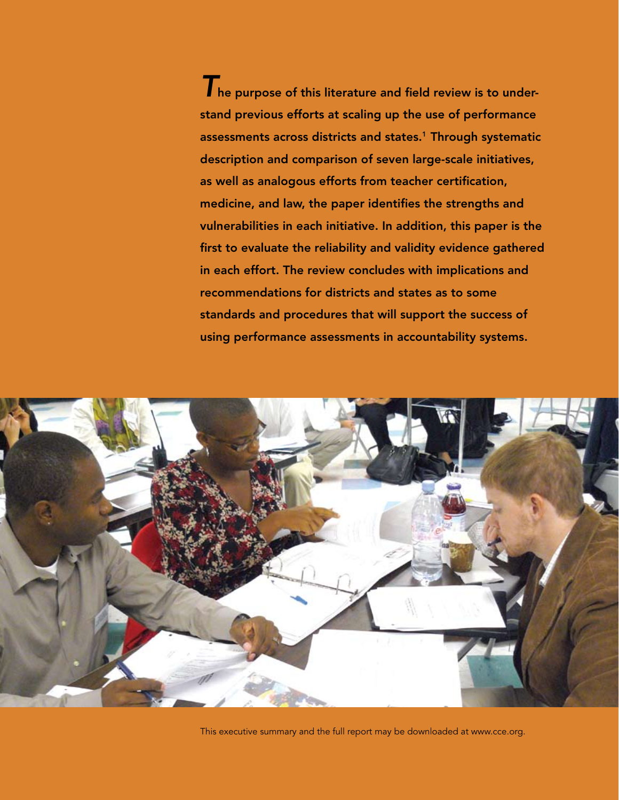The purpose of this literature and field review is to understand previous efforts at scaling up the use of performance assessments across districts and states.<sup>1</sup> Through systematic description and comparison of seven large-scale initiatives, as well as analogous efforts from teacher certification, medicine, and law, the paper identifies the strengths and vulnerabilities in each initiative. In addition, this paper is the first to evaluate the reliability and validity evidence gathered in each effort. The review concludes with implications and recommendations for districts and states as to some standards and procedures that will support the success of using performance assessments in accountability systems.



This executive summary and the full report may be downloaded at www.cce.org.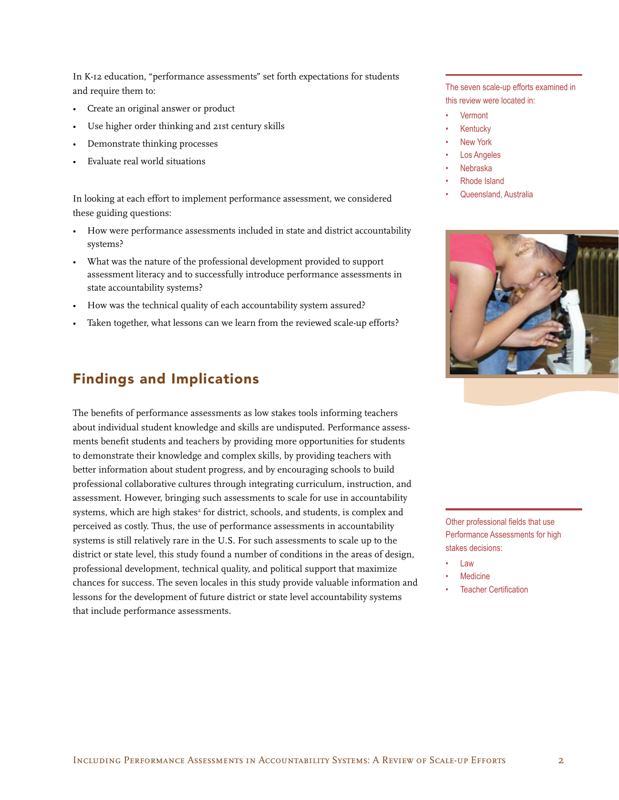In K-12 education, "performance assessments" set forth expectations for students and require them to:

- Create an original answer or product
- Use higher order thinking and 21st century skills
- Demonstrate thinking processes
- Evaluate real world situations

In looking at each effort to implement performance assessment, we considered these guiding questions:

- How were performance assessments included in state and district accountability systems?
- • What was the nature of the professional development provided to support assessment literacy and to successfully introduce performance assessments in state accountability systems?
- How was the technical quality of each accountability system assured?
- Taken together, what lessons can we learn from the reviewed scale-up efforts?

### Findings and Implications

The benefits of performance assessments as low stakes tools informing teachers about individual student knowledge and skills are undisputed. Performance assessments benefit students and teachers by providing more opportunities for students to demonstrate their knowledge and complex skills, by providing teachers with better information about student progress, and by encouraging schools to build professional collaborative cultures through integrating curriculum, instruction, and assessment. However, bringing such assessments to scale for use in accountability systems, which are high stakes<sup>2</sup> for district, schools, and students, is complex and perceived as costly. Thus, the use of performance assessments in accountability systems is still relatively rare in the U.S. For such assessments to scale up to the district or state level, this study found a number of conditions in the areas of design, professional development, technical quality, and political support that maximize chances for success. The seven locales in this study provide valuable information and lessons for the development of future district or state level accountability systems that include performance assessments.

The seven scale-up efforts examined in this review were located in:

- Vermont
- **Kentucky**
- **New York**
- Los Angeles
- **Nebraska**
- Rhode Island
- Queensland, Australia



Other professional fields that use Performance Assessments for high stakes decisions:

- Law
- Medicine
- **Teacher Certification**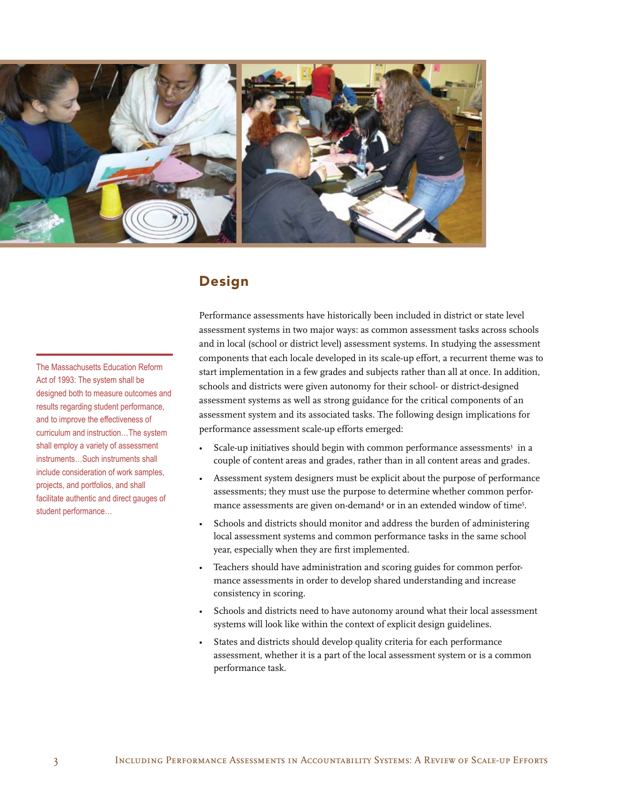

### Design

The Massachusetts Education Reform Act of 1993: The system shall be designed both to measure outcomes and results regarding student performance, and to improve the effectiveness of curriculum and instruction…The system shall employ a variety of assessment instruments…Such instruments shall include consideration of work samples, projects, and portfolios, and shall facilitate authentic and direct gauges of student performance…

Performance assessments have historically been included in district or state level assessment systems in two major ways: as common assessment tasks across schools and in local (school or district level) assessment systems. In studying the assessment components that each locale developed in its scale-up effort, a recurrent theme was to start implementation in a few grades and subjects rather than all at once. In addition, schools and districts were given autonomy for their school- or district-designed assessment systems as well as strong guidance for the critical components of an assessment system and its associated tasks. The following design implications for performance assessment scale-up efforts emerged:

- Scale-up initiatives should begin with common performance assessments<sup>3</sup> in a couple of content areas and grades, rather than in all content areas and grades.
- Assessment system designers must be explicit about the purpose of performance assessments; they must use the purpose to determine whether common performance assessments are given on-demand<sup>4</sup> or in an extended window of time<sup>5</sup>.
- Schools and districts should monitor and address the burden of administering local assessment systems and common performance tasks in the same school year, especially when they are first implemented.
- Teachers should have administration and scoring guides for common performance assessments in order to develop shared understanding and increase consistency in scoring.
- Schools and districts need to have autonomy around what their local assessment systems will look like within the context of explicit design guidelines.
- States and districts should develop quality criteria for each performance assessment, whether it is a part of the local assessment system or is a common performance task.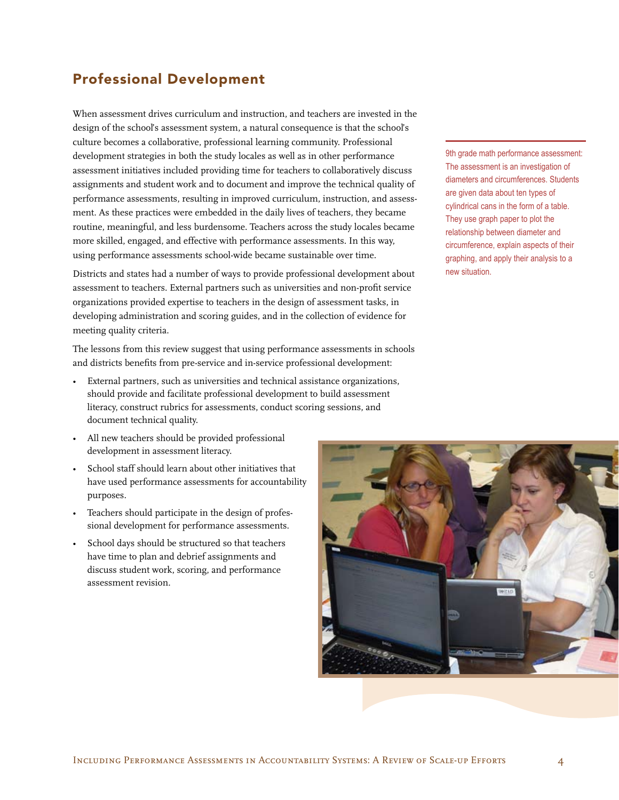# Professional Development

When assessment drives curriculum and instruction, and teachers are invested in the design of the school's assessment system, a natural consequence is that the school's culture becomes a collaborative, professional learning community. Professional development strategies in both the study locales as well as in other performance assessment initiatives included providing time for teachers to collaboratively discuss assignments and student work and to document and improve the technical quality of performance assessments, resulting in improved curriculum, instruction, and assessment. As these practices were embedded in the daily lives of teachers, they became routine, meaningful, and less burdensome. Teachers across the study locales became more skilled, engaged, and effective with performance assessments. In this way, using performance assessments school-wide became sustainable over time.

Districts and states had a number of ways to provide professional development about assessment to teachers. External partners such as universities and non-profit service organizations provided expertise to teachers in the design of assessment tasks, in developing administration and scoring guides, and in the collection of evidence for meeting quality criteria.

The lessons from this review suggest that using performance assessments in schools and districts benefits from pre-service and in-service professional development:

- External partners, such as universities and technical assistance organizations, should provide and facilitate professional development to build assessment literacy, construct rubrics for assessments, conduct scoring sessions, and document technical quality.
- All new teachers should be provided professional development in assessment literacy.
- School staff should learn about other initiatives that have used performance assessments for accountability purposes.
- Teachers should participate in the design of professional development for performance assessments.
- School days should be structured so that teachers have time to plan and debrief assignments and discuss student work, scoring, and performance assessment revision.

9th grade math performance assessment: The assessment is an investigation of diameters and circumferences. Students are given data about ten types of cylindrical cans in the form of a table. They use graph paper to plot the relationship between diameter and circumference, explain aspects of their graphing, and apply their analysis to a new situation.

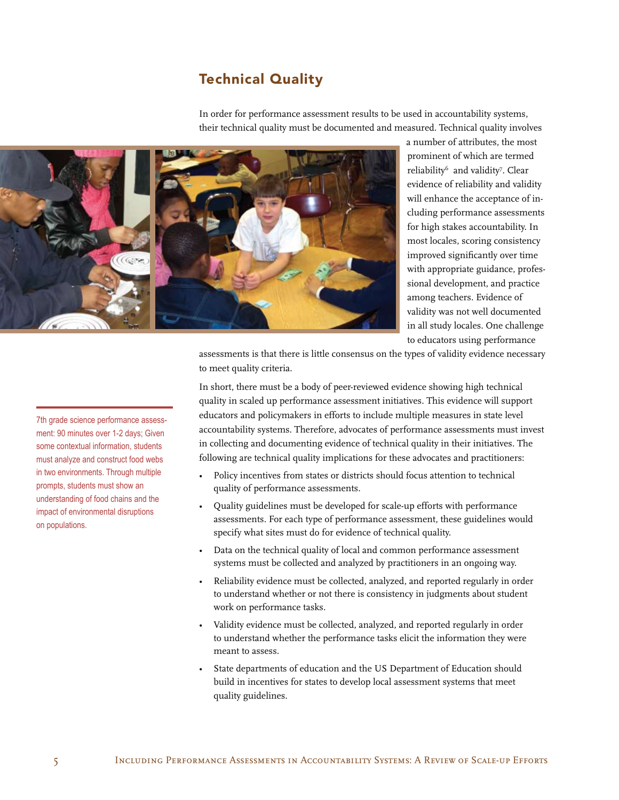# Technical Quality

In order for performance assessment results to be used in accountability systems, their technical quality must be documented and measured. Technical quality involves



a number of attributes, the most prominent of which are termed reliability<sup>6</sup> and validity<sup>7</sup>. Clear evidence of reliability and validity will enhance the acceptance of including performance assessments for high stakes accountability. In most locales, scoring consistency improved significantly over time with appropriate guidance, professional development, and practice among teachers. Evidence of validity was not well documented in all study locales. One challenge to educators using performance

assessments is that there is little consensus on the types of validity evidence necessary to meet quality criteria.

In short, there must be a body of peer-reviewed evidence showing high technical quality in scaled up performance assessment initiatives. This evidence will support educators and policymakers in efforts to include multiple measures in state level accountability systems. Therefore, advocates of performance assessments must invest in collecting and documenting evidence of technical quality in their initiatives. The following are technical quality implications for these advocates and practitioners:

- Policy incentives from states or districts should focus attention to technical quality of performance assessments.
- Quality guidelines must be developed for scale-up efforts with performance assessments. For each type of performance assessment, these guidelines would specify what sites must do for evidence of technical quality.
- • Data on the technical quality of local and common performance assessment systems must be collected and analyzed by practitioners in an ongoing way.
- Reliability evidence must be collected, analyzed, and reported regularly in order to understand whether or not there is consistency in judgments about student work on performance tasks.
- Validity evidence must be collected, analyzed, and reported regularly in order to understand whether the performance tasks elicit the information they were meant to assess.
- State departments of education and the US Department of Education should build in incentives for states to develop local assessment systems that meet quality guidelines.

7th grade science performance assessment: 90 minutes over 1-2 days; Given some contextual information, students must analyze and construct food webs in two environments. Through multiple prompts, students must show an understanding of food chains and the impact of environmental disruptions on populations.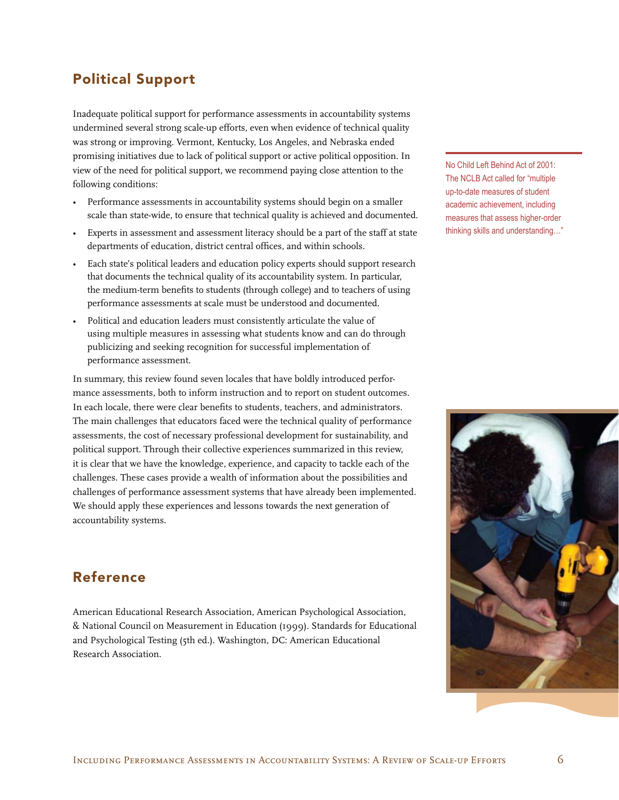# Political Support

Inadequate political support for performance assessments in accountability systems undermined several strong scale-up efforts, even when evidence of technical quality was strong or improving. Vermont, Kentucky, Los Angeles, and Nebraska ended promising initiatives due to lack of political support or active political opposition. In view of the need for political support, we recommend paying close attention to the following conditions:

- Performance assessments in accountability systems should begin on a smaller scale than state-wide, to ensure that technical quality is achieved and documented.
- Experts in assessment and assessment literacy should be a part of the staff at state departments of education, district central offices, and within schools.
- Each state's political leaders and education policy experts should support research that documents the technical quality of its accountability system. In particular, the medium-term benefits to students (through college) and to teachers of using performance assessments at scale must be understood and documented.
- Political and education leaders must consistently articulate the value of using multiple measures in assessing what students know and can do through publicizing and seeking recognition for successful implementation of performance assessment.

In summary, this review found seven locales that have boldly introduced performance assessments, both to inform instruction and to report on student outcomes. In each locale, there were clear benefits to students, teachers, and administrators. The main challenges that educators faced were the technical quality of performance assessments, the cost of necessary professional development for sustainability, and political support. Through their collective experiences summarized in this review, it is clear that we have the knowledge, experience, and capacity to tackle each of the challenges. These cases provide a wealth of information about the possibilities and challenges of performance assessment systems that have already been implemented. We should apply these experiences and lessons towards the next generation of accountability systems.

# Reference

American Educational Research Association, American Psychological Association, & National Council on Measurement in Education (1999). Standards for Educational and Psychological Testing (5th ed.). Washington, DC: American Educational Research Association.

No Child Left Behind Act of 2001: The NCLB Act called for "multiple up-to-date measures of student academic achievement, including measures that assess higher-order thinking skills and understanding…"